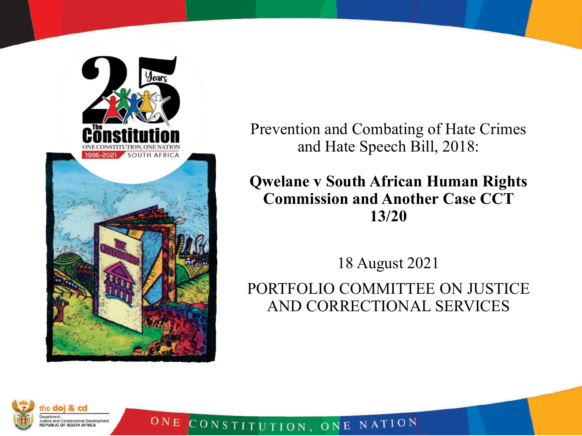

ONE

Prevention and Combating of Hate Crimes and Hate Speech Bill, 2018:

**Qwelane v South African Human Rights Commission and Another Case CCT 13/20**

18 August 2021

PORTFOLIO COMMITTEE ON JUSTICE AND CORRECTIONAL SERVICES

CONSTITUTION, ONE NATION

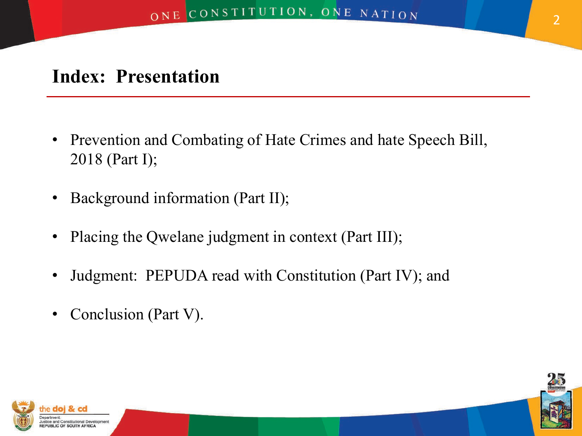# **Index: Presentation**

- Prevention and Combating of Hate Crimes and hate Speech Bill, 2018 (Part I);
- Background information (Part II);
- Placing the Qwelane judgment in context (Part III);
- Judgment: PEPUDA read with Constitution (Part IV); and
- Conclusion (Part V).



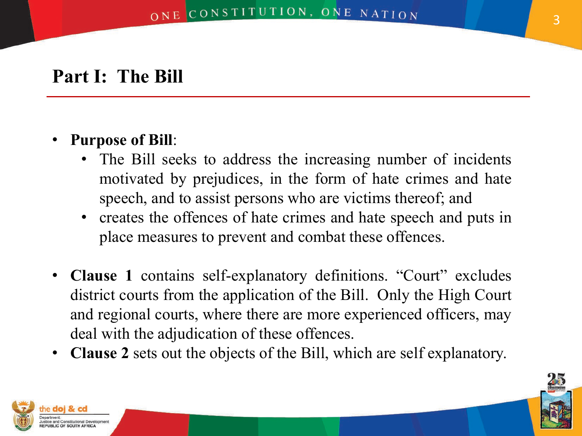## **Part I: The Bill**

#### • **Purpose of Bill**:

- The Bill seeks to address the increasing number of incidents motivated by prejudices, in the form of hate crimes and hate speech, and to assist persons who are victims thereof; and
- creates the offences of hate crimes and hate speech and puts in place measures to prevent and combat these offences.
- **Clause 1** contains self-explanatory definitions. "Court" excludes district courts from the application of the Bill. Only the High Court and regional courts, where there are more experienced officers, may deal with the adjudication of these offences.
- **Clause 2** sets out the objects of the Bill, which are self explanatory.



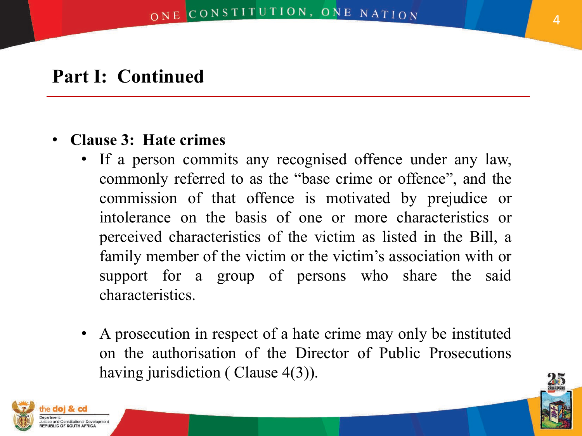#### • **Clause 3: Hate crimes**

- If a person commits any recognised offence under any law, commonly referred to as the "base crime or offence", and the commission of that offence is motivated by prejudice or intolerance on the basis of one or more characteristics or perceived characteristics of the victim as listed in the Bill, a family member of the victim or the victim's association with or support for a group of persons who share the said characteristics.
- A prosecution in respect of a hate crime may only be instituted on the authorisation of the Director of Public Prosecutions having jurisdiction (Clause 4(3)).



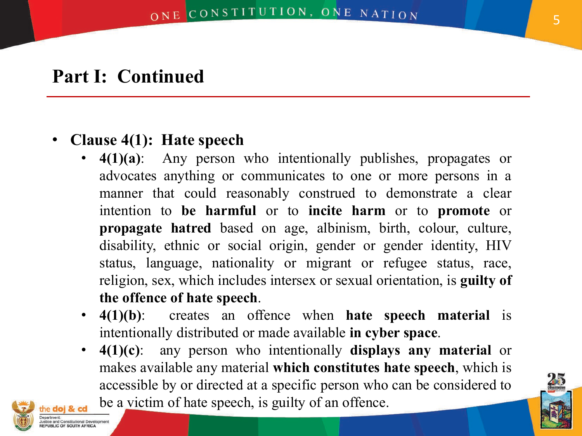### • **Clause 4(1): Hate speech**

- **4(1)(a)**: Any person who intentionally publishes, propagates or advocates anything or communicates to one or more persons in a manner that could reasonably construed to demonstrate a clear intention to **be harmful** or to **incite harm** or to **promote** or **propagate hatred** based on age, albinism, birth, colour, culture, disability, ethnic or social origin, gender or gender identity, HIV status, language, nationality or migrant or refugee status, race, religion, sex, which includes intersex or sexual orientation, is **guilty of the offence of hate speech**.
- **4(1)(b)**: creates an offence when **hate speech material** is intentionally distributed or made available **in cyber space**.
- **4(1)(c)**: any person who intentionally **displays any material** or makes available any material **which constitutes hate speech**, which is accessible by or directed at a specific person who can be considered to be a victim of hate speech, is guilty of an offence.



5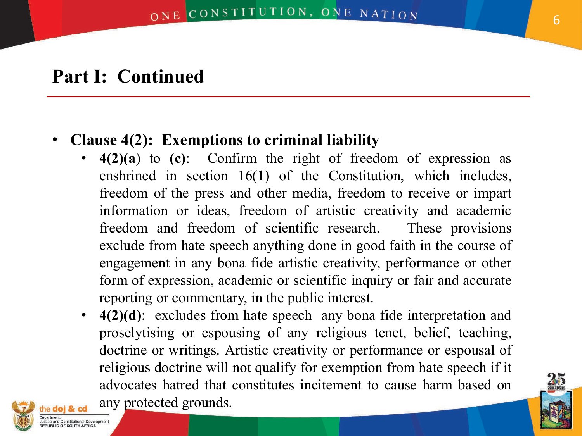## • **Clause 4(2): Exemptions to criminal liability**

- **4(2)(a**) to **(c)**: Confirm the right of freedom of expression as enshrined in section 16(1) of the Constitution, which includes, freedom of the press and other media, freedom to receive or impart information or ideas, freedom of artistic creativity and academic freedom and freedom of scientific research. These provisions exclude from hate speech anything done in good faith in the course of engagement in any bona fide artistic creativity, performance or other form of expression, academic or scientific inquiry or fair and accurate reporting or commentary, in the public interest.
- **4(2)(d)**: excludes from hate speech any bona fide interpretation and proselytising or espousing of any religious tenet, belief, teaching, doctrine or writings. Artistic creativity or performance or espousal of religious doctrine will not qualify for exemption from hate speech if it advocates hatred that constitutes incitement to cause harm based on any protected grounds.



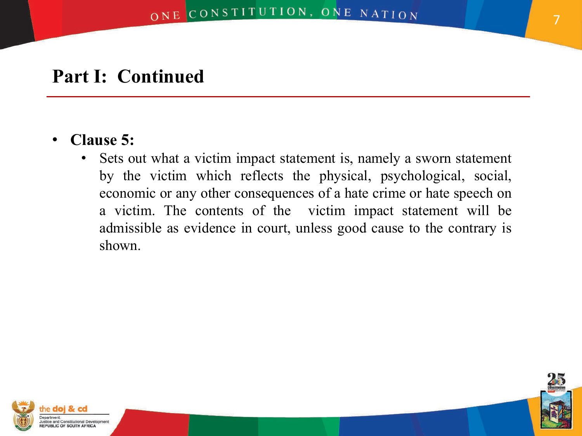#### • **Clause 5:**

Sets out what a victim impact statement is, namely a sworn statement by the victim which reflects the physical, psychological, social, economic or any other consequences of a hate crime or hate speech on a victim. The contents of the victim impact statement will be admissible as evidence in court, unless good cause to the contrary is shown.



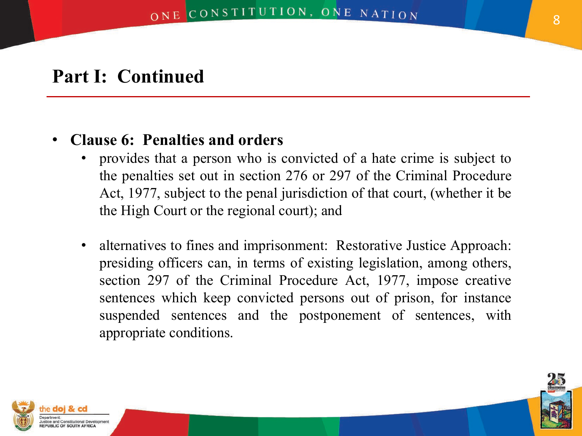### • **Clause 6: Penalties and orders**

- provides that a person who is convicted of a hate crime is subject to the penalties set out in section 276 or 297 of the Criminal Procedure Act, 1977, subject to the penal jurisdiction of that court, (whether it be the High Court or the regional court); and
- alternatives to fines and imprisonment: Restorative Justice Approach: presiding officers can, in terms of existing legislation, among others, section 297 of the Criminal Procedure Act, 1977, impose creative sentences which keep convicted persons out of prison, for instance suspended sentences and the postponement of sentences, with appropriate conditions.



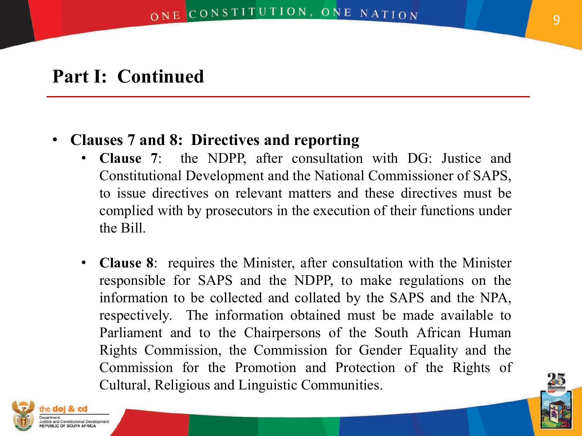#### • **Clauses 7 and 8: Directives and reporting**

- **Clause 7**: the NDPP, after consultation with DG: Justice and Constitutional Development and the National Commissioner of SAPS, to issue directives on relevant matters and these directives must be complied with by prosecutors in the execution of their functions under the Bill.
- **Clause 8**: requires the Minister, after consultation with the Minister responsible for SAPS and the NDPP, to make regulations on the information to be collected and collated by the SAPS and the NPA, respectively. The information obtained must be made available to Parliament and to the Chairpersons of the South African Human Rights Commission, the Commission for Gender Equality and the Commission for the Promotion and Protection of the Rights of Cultural, Religious and Linguistic Communities.



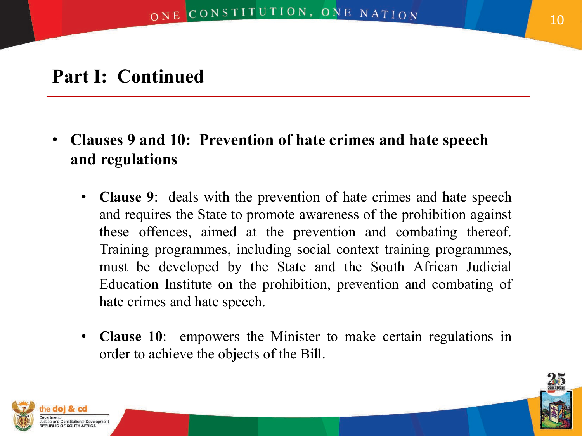- **Clauses 9 and 10: Prevention of hate crimes and hate speech and regulations**
	- **Clause 9**: deals with the prevention of hate crimes and hate speech and requires the State to promote awareness of the prohibition against these offences, aimed at the prevention and combating thereof. Training programmes, including social context training programmes, must be developed by the State and the South African Judicial Education Institute on the prohibition, prevention and combating of hate crimes and hate speech.
	- **Clause 10**: empowers the Minister to make certain regulations in order to achieve the objects of the Bill.



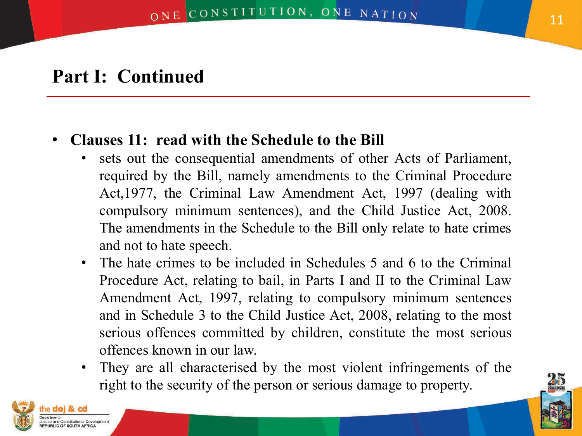#### • **Clauses 11: read with the Schedule to the Bill**

- sets out the consequential amendments of other Acts of Parliament, required by the Bill, namely amendments to the Criminal Procedure Act,1977, the Criminal Law Amendment Act, 1997 (dealing with compulsory minimum sentences), and the Child Justice Act, 2008. The amendments in the Schedule to the Bill only relate to hate crimes and not to hate speech.
- The hate crimes to be included in Schedules 5 and 6 to the Criminal Procedure Act, relating to bail, in Parts I and II to the Criminal Law Amendment Act, 1997, relating to compulsory minimum sentences and in Schedule 3 to the Child Justice Act, 2008, relating to the most serious offences committed by children, constitute the most serious offences known in our law.
- They are all characterised by the most violent infringements of the right to the security of the person or serious damage to property.



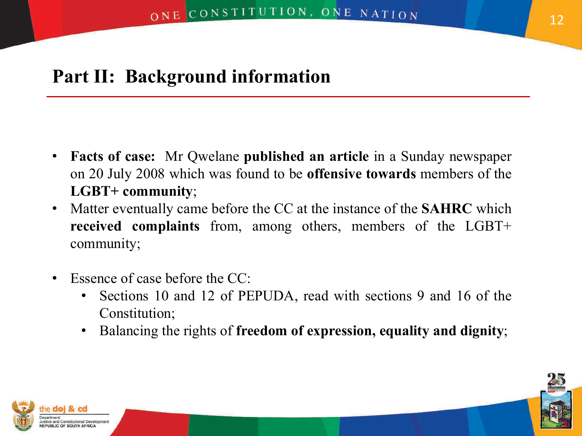## **Part II: Background information**

- **Facts of case:** Mr Qwelane **published an article** in a Sunday newspaper on 20 July 2008 which was found to be **offensive towards** members of the **LGBT+ community**;
- Matter eventually came before the CC at the instance of the **SAHRC** which **received complaints** from, among others, members of the LGBT+ community;
- Essence of case before the CC:
	- Sections 10 and 12 of PEPUDA, read with sections 9 and 16 of the Constitution;
	- Balancing the rights of **freedom of expression, equality and dignity**;



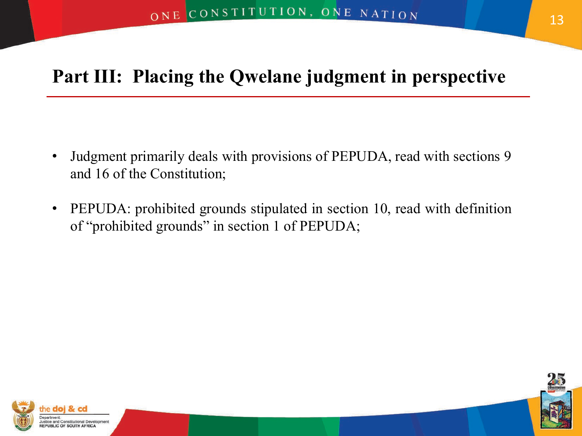# **Part III: Placing the Qwelane judgment in perspective**

- Judgment primarily deals with provisions of PEPUDA, read with sections 9 and 16 of the Constitution;
- PEPUDA: prohibited grounds stipulated in section 10, read with definition of "prohibited grounds" in section 1 of PEPUDA;



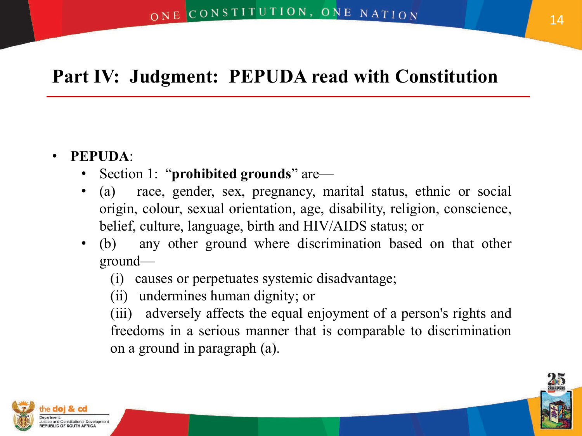# **Part IV: Judgment: PEPUDA read with Constitution**

#### • **PEPUDA**:

- Section 1: "**prohibited grounds**" are—
- (a) race, gender, sex, pregnancy, marital status, ethnic or social origin, colour, sexual orientation, age, disability, religion, conscience, belief, culture, language, birth and HIV/AIDS status; or
- (b) any other ground where discrimination based on that other ground—
	- (i) causes or perpetuates systemic disadvantage;
	- (ii) undermines human dignity; or
	- (iii) adversely affects the equal enjoyment of a person's rights and freedoms in a serious manner that is comparable to discrimination on a ground in paragraph (a).



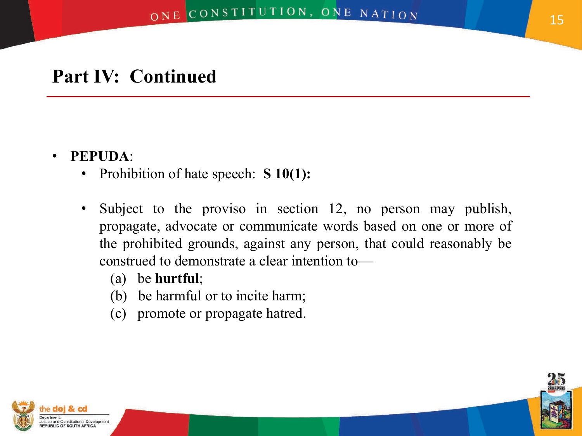#### • **PEPUDA**:

- Prohibition of hate speech: **S 10(1):**
- Subject to the proviso in section 12, no person may publish, propagate, advocate or communicate words based on one or more of the prohibited grounds, against any person, that could reasonably be construed to demonstrate a clear intention to—
	- (a) be **hurtful**;
	- (b) be harmful or to incite harm;
	- (c) promote or propagate hatred.



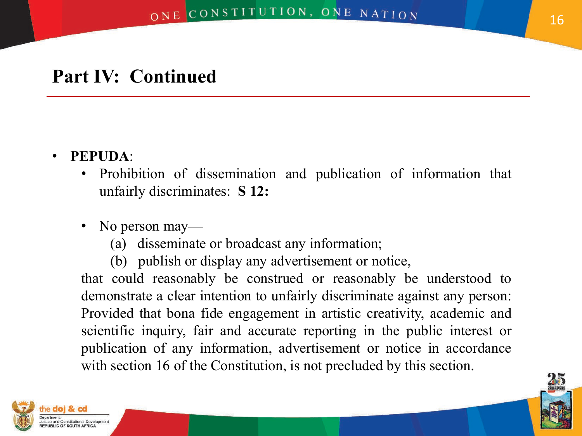#### • **PEPUDA**:

- Prohibition of dissemination and publication of information that unfairly discriminates: **S 12:**
- No person may—
	- (a) disseminate or broadcast any information;
	- (b) publish or display any advertisement or notice,

that could reasonably be construed or reasonably be understood to demonstrate a clear intention to unfairly discriminate against any person: Provided that bona fide engagement in artistic creativity, academic and scientific inquiry, fair and accurate reporting in the public interest or publication of any information, advertisement or notice in accordance with section 16 of the Constitution, is not precluded by this section.

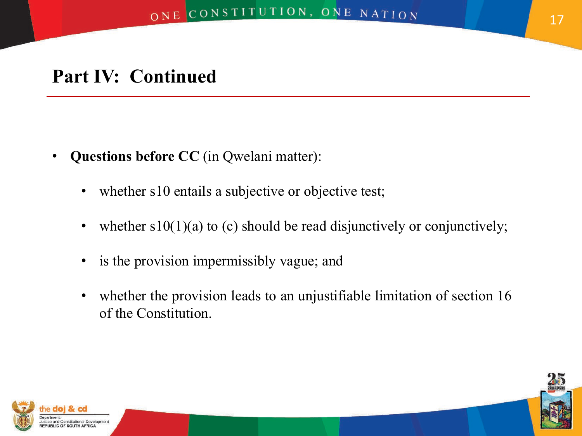- **Questions before CC** (in Qwelani matter):
	- whether s10 entails a subjective or objective test;
	- whether  $s10(1)(a)$  to (c) should be read disjunctively or conjunctively;
	- is the provision impermissibly vague; and
	- whether the provision leads to an unjustifiable limitation of section 16 of the Constitution.



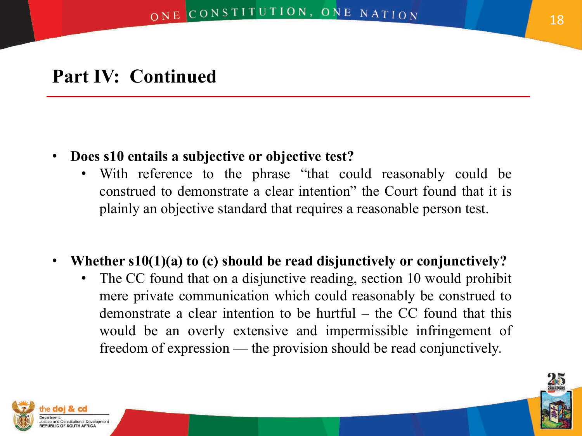- **Does s10 entails a subjective or objective test?**
	- With reference to the phrase "that could reasonably could be construed to demonstrate a clear intention" the Court found that it is plainly an objective standard that requires a reasonable person test.
- **Whether s10(1)(a) to (c) should be read disjunctively or conjunctively?**
	- The CC found that on a disjunctive reading, section 10 would prohibit mere private communication which could reasonably be construed to demonstrate a clear intention to be hurtful – the CC found that this would be an overly extensive and impermissible infringement of freedom of expression — the provision should be read conjunctively.



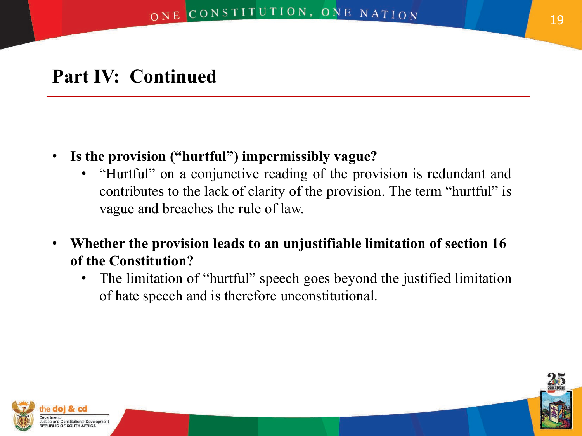- **Is the provision ("hurtful") impermissibly vague?**
	- "Hurtful" on a conjunctive reading of the provision is redundant and contributes to the lack of clarity of the provision. The term "hurtful" is vague and breaches the rule of law.
- **Whether the provision leads to an unjustifiable limitation of section 16 of the Constitution?**
	- The limitation of "hurtful" speech goes beyond the justified limitation of hate speech and is therefore unconstitutional.



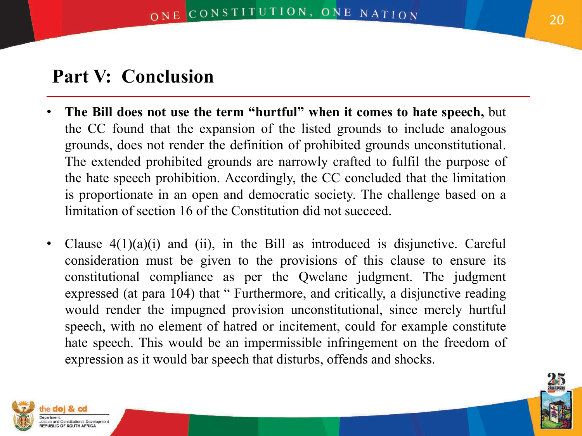# **Part V: Conclusion**

- **The Bill does not use the term "hurtful" when it comes to hate speech,** but the CC found that the expansion of the listed grounds to include analogous grounds, does not render the definition of prohibited grounds unconstitutional. The extended prohibited grounds are narrowly crafted to fulfil the purpose of the hate speech prohibition. Accordingly, the CC concluded that the limitation is proportionate in an open and democratic society. The challenge based on a limitation of section 16 of the Constitution did not succeed.
- Clause  $4(1)(a)(i)$  and (ii), in the Bill as introduced is disjunctive. Careful consideration must be given to the provisions of this clause to ensure its constitutional compliance as per the Qwelane judgment. The judgment expressed (at para 104) that " Furthermore, and critically, a disjunctive reading would render the impugned provision unconstitutional, since merely hurtful speech, with no element of hatred or incitement, could for example constitute hate speech. This would be an impermissible infringement on the freedom of expression as it would bar speech that disturbs, offends and shocks.



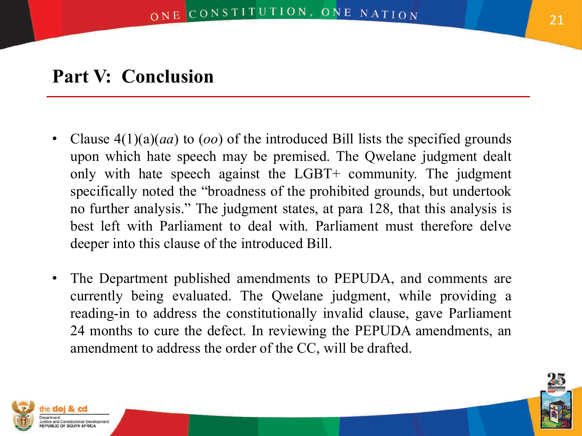# **Part V: Conclusion**

- Clause 4(1)(a)(*aa*) to (*oo*) of the introduced Bill lists the specified grounds upon which hate speech may be premised. The Qwelane judgment dealt only with hate speech against the LGBT+ community. The judgment specifically noted the "broadness of the prohibited grounds, but undertook no further analysis." The judgment states, at para 128, that this analysis is best left with Parliament to deal with. Parliament must therefore delve deeper into this clause of the introduced Bill.
- The Department published amendments to PEPUDA, and comments are currently being evaluated. The Qwelane judgment, while providing a reading-in to address the constitutionally invalid clause, gave Parliament 24 months to cure the defect. In reviewing the PEPUDA amendments, an amendment to address the order of the CC, will be drafted.